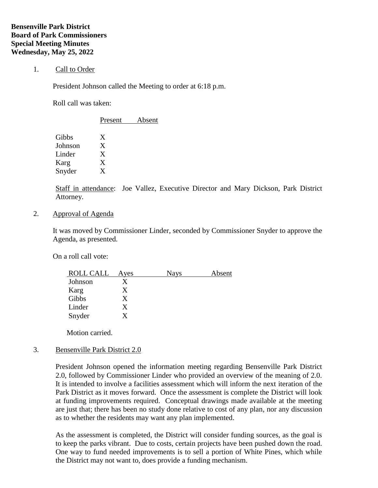## 1. Call to Order

President Johnson called the Meeting to order at 6:18 p.m.

Roll call was taken:

|         | Present | Absent |  |
|---------|---------|--------|--|
| Gibbs   | Χ       |        |  |
| Johnson | X       |        |  |
| Linder  | X       |        |  |
| Karg    | X       |        |  |
| Snyder  | X       |        |  |
|         |         |        |  |

Staff in attendance: Joe Vallez, Executive Director and Mary Dickson, Park District Attorney.

2. Approval of Agenda

It was moved by Commissioner Linder, seconded by Commissioner Snyder to approve the Agenda, as presented.

On a roll call vote:

| <b>ROLL CALL</b> | Ayes | <b>Nays</b> | Absent |
|------------------|------|-------------|--------|
| Johnson          |      |             |        |
| Karg             |      |             |        |
| Gibbs            | X    |             |        |
| Linder           | X    |             |        |
| Snyder           | Y    |             |        |

Motion carried.

## 3. Bensenville Park District 2.0

President Johnson opened the information meeting regarding Bensenville Park District 2.0, followed by Commissioner Linder who provided an overview of the meaning of 2.0. It is intended to involve a facilities assessment which will inform the next iteration of the Park District as it moves forward. Once the assessment is complete the District will look at funding improvements required. Conceptual drawings made available at the meeting are just that; there has been no study done relative to cost of any plan, nor any discussion as to whether the residents may want any plan implemented.

As the assessment is completed, the District will consider funding sources, as the goal is to keep the parks vibrant. Due to costs, certain projects have been pushed down the road. One way to fund needed improvements is to sell a portion of White Pines, which while the District may not want to, does provide a funding mechanism.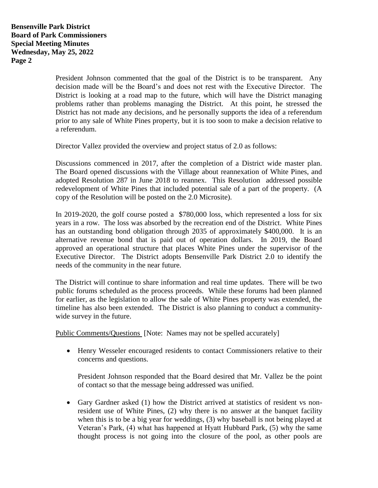President Johnson commented that the goal of the District is to be transparent. Any decision made will be the Board's and does not rest with the Executive Director. The District is looking at a road map to the future, which will have the District managing problems rather than problems managing the District. At this point, he stressed the District has not made any decisions, and he personally supports the idea of a referendum prior to any sale of White Pines property, but it is too soon to make a decision relative to a referendum.

Director Vallez provided the overview and project status of 2.0 as follows:

Discussions commenced in 2017, after the completion of a District wide master plan. The Board opened discussions with the Village about reannexation of White Pines, and adopted Resolution 287 in June 2018 to reannex. This Resolution addressed possible redevelopment of White Pines that included potential sale of a part of the property. (A copy of the Resolution will be posted on the 2.0 Microsite).

In 2019-2020, the golf course posted a \$780,000 loss, which represented a loss for six years in a row. The loss was absorbed by the recreation end of the District. White Pines has an outstanding bond obligation through 2035 of approximately \$400,000. It is an alternative revenue bond that is paid out of operation dollars. In 2019, the Board approved an operational structure that places White Pines under the supervisor of the Executive Director. The District adopts Bensenville Park District 2.0 to identify the needs of the community in the near future.

The District will continue to share information and real time updates. There will be two public forums scheduled as the process proceeds. While these forums had been planned for earlier, as the legislation to allow the sale of White Pines property was extended, the timeline has also been extended. The District is also planning to conduct a communitywide survey in the future.

Public Comments/Questions [Note: Names may not be spelled accurately]

• Henry Wesseler encouraged residents to contact Commissioners relative to their concerns and questions.

President Johnson responded that the Board desired that Mr. Vallez be the point of contact so that the message being addressed was unified.

• Gary Gardner asked (1) how the District arrived at statistics of resident vs nonresident use of White Pines, (2) why there is no answer at the banquet facility when this is to be a big year for weddings, (3) why baseball is not being played at Veteran's Park, (4) what has happened at Hyatt Hubbard Park, (5) why the same thought process is not going into the closure of the pool, as other pools are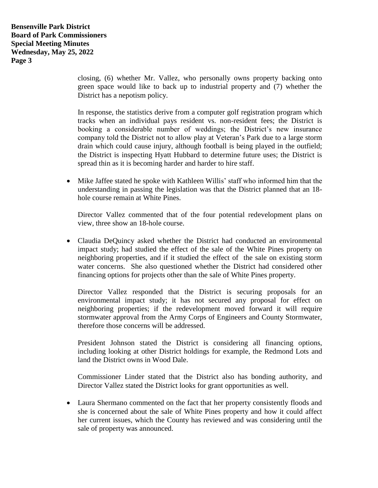closing, (6) whether Mr. Vallez, who personally owns property backing onto green space would like to back up to industrial property and (7) whether the District has a nepotism policy.

In response, the statistics derive from a computer golf registration program which tracks when an individual pays resident vs. non-resident fees; the District is booking a considerable number of weddings; the District's new insurance company told the District not to allow play at Veteran's Park due to a large storm drain which could cause injury, although football is being played in the outfield; the District is inspecting Hyatt Hubbard to determine future uses; the District is spread thin as it is becoming harder and harder to hire staff.

• Mike Jaffee stated he spoke with Kathleen Willis' staff who informed him that the understanding in passing the legislation was that the District planned that an 18 hole course remain at White Pines.

Director Vallez commented that of the four potential redevelopment plans on view, three show an 18-hole course.

• Claudia DeQuincy asked whether the District had conducted an environmental impact study; had studied the effect of the sale of the White Pines property on neighboring properties, and if it studied the effect of the sale on existing storm water concerns. She also questioned whether the District had considered other financing options for projects other than the sale of White Pines property.

Director Vallez responded that the District is securing proposals for an environmental impact study; it has not secured any proposal for effect on neighboring properties; if the redevelopment moved forward it will require stormwater approval from the Army Corps of Engineers and County Stormwater, therefore those concerns will be addressed.

President Johnson stated the District is considering all financing options, including looking at other District holdings for example, the Redmond Lots and land the District owns in Wood Dale.

Commissioner Linder stated that the District also has bonding authority, and Director Vallez stated the District looks for grant opportunities as well.

• Laura Shermano commented on the fact that her property consistently floods and she is concerned about the sale of White Pines property and how it could affect her current issues, which the County has reviewed and was considering until the sale of property was announced.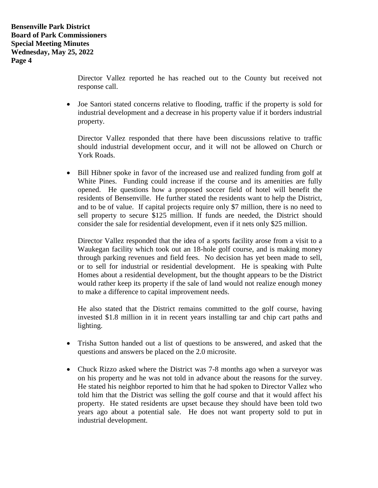Director Vallez reported he has reached out to the County but received not response call.

• Joe Santori stated concerns relative to flooding, traffic if the property is sold for industrial development and a decrease in his property value if it borders industrial property.

Director Vallez responded that there have been discussions relative to traffic should industrial development occur, and it will not be allowed on Church or York Roads.

• Bill Hibner spoke in favor of the increased use and realized funding from golf at White Pines. Funding could increase if the course and its amenities are fully opened. He questions how a proposed soccer field of hotel will benefit the residents of Bensenville. He further stated the residents want to help the District, and to be of value. If capital projects require only \$7 million, there is no need to sell property to secure \$125 million. If funds are needed, the District should consider the sale for residential development, even if it nets only \$25 million.

Director Vallez responded that the idea of a sports facility arose from a visit to a Waukegan facility which took out an 18-hole golf course, and is making money through parking revenues and field fees. No decision has yet been made to sell, or to sell for industrial or residential development. He is speaking with Pulte Homes about a residential development, but the thought appears to be the District would rather keep its property if the sale of land would not realize enough money to make a difference to capital improvement needs.

He also stated that the District remains committed to the golf course, having invested \$1.8 million in it in recent years installing tar and chip cart paths and lighting.

- Trisha Sutton handed out a list of questions to be answered, and asked that the questions and answers be placed on the 2.0 microsite.
- Chuck Rizzo asked where the District was 7-8 months ago when a surveyor was on his property and he was not told in advance about the reasons for the survey. He stated his neighbor reported to him that he had spoken to Director Vallez who told him that the District was selling the golf course and that it would affect his property. He stated residents are upset because they should have been told two years ago about a potential sale. He does not want property sold to put in industrial development.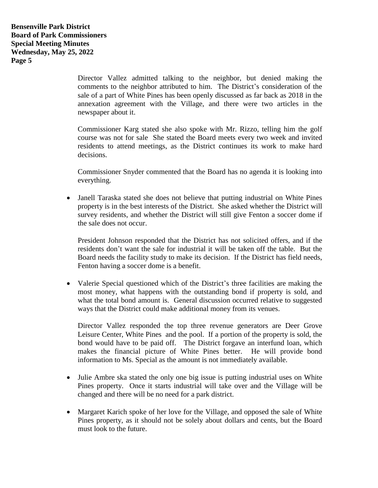Director Vallez admitted talking to the neighbor, but denied making the comments to the neighbor attributed to him. The District's consideration of the sale of a part of White Pines has been openly discussed as far back as 2018 in the annexation agreement with the Village, and there were two articles in the newspaper about it.

Commissioner Karg stated she also spoke with Mr. Rizzo, telling him the golf course was not for sale She stated the Board meets every two week and invited residents to attend meetings, as the District continues its work to make hard decisions.

Commissioner Snyder commented that the Board has no agenda it is looking into everything.

• Janell Taraska stated she does not believe that putting industrial on White Pines property is in the best interests of the District. She asked whether the District will survey residents, and whether the District will still give Fenton a soccer dome if the sale does not occur.

President Johnson responded that the District has not solicited offers, and if the residents don't want the sale for industrial it will be taken off the table. But the Board needs the facility study to make its decision. If the District has field needs, Fenton having a soccer dome is a benefit.

• Valerie Special questioned which of the District's three facilities are making the most money, what happens with the outstanding bond if property is sold, and what the total bond amount is. General discussion occurred relative to suggested ways that the District could make additional money from its venues.

Director Vallez responded the top three revenue generators are Deer Grove Leisure Center, White Pines and the pool. If a portion of the property is sold, the bond would have to be paid off. The District forgave an interfund loan, which makes the financial picture of White Pines better. He will provide bond information to Ms. Special as the amount is not immediately available.

- Julie Ambre ska stated the only one big issue is putting industrial uses on White Pines property. Once it starts industrial will take over and the Village will be changed and there will be no need for a park district.
- Margaret Karich spoke of her love for the Village, and opposed the sale of White Pines property, as it should not be solely about dollars and cents, but the Board must look to the future.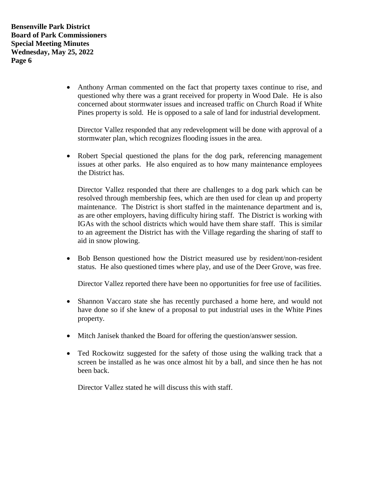**Bensenville Park District Board of Park Commissioners Special Meeting Minutes Wednesday, May 25, 2022 Page 6**

> • Anthony Arman commented on the fact that property taxes continue to rise, and questioned why there was a grant received for property in Wood Dale. He is also concerned about stormwater issues and increased traffic on Church Road if White Pines property is sold. He is opposed to a sale of land for industrial development.

Director Vallez responded that any redevelopment will be done with approval of a stormwater plan, which recognizes flooding issues in the area.

• Robert Special questioned the plans for the dog park, referencing management issues at other parks. He also enquired as to how many maintenance employees the District has.

Director Vallez responded that there are challenges to a dog park which can be resolved through membership fees, which are then used for clean up and property maintenance. The District is short staffed in the maintenance department and is, as are other employers, having difficulty hiring staff. The District is working with IGAs with the school districts which would have them share staff. This is similar to an agreement the District has with the Village regarding the sharing of staff to aid in snow plowing.

• Bob Benson questioned how the District measured use by resident/non-resident status. He also questioned times where play, and use of the Deer Grove, was free.

Director Vallez reported there have been no opportunities for free use of facilities.

- Shannon Vaccaro state she has recently purchased a home here, and would not have done so if she knew of a proposal to put industrial uses in the White Pines property.
- Mitch Janisek thanked the Board for offering the question/answer session.
- Ted Rockowitz suggested for the safety of those using the walking track that a screen be installed as he was once almost hit by a ball, and since then he has not been back.

Director Vallez stated he will discuss this with staff.